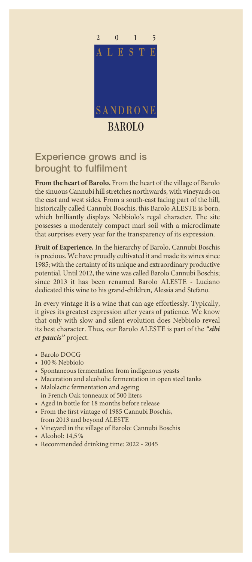

## Experience grows and is brought to fulfilment

**From the heart of Barolo.** From the heart of the village of Barolo the sinuous Cannubi hill stretches northwards, with vineyards on the east and west sides. From a south-east facing part of the hill, historically called Cannubi Boschis, this Barolo ALESTE is born, which brilliantly displays Nebbiolo's regal character. The site possesses a moderately compact marl soil with a microclimate that surprises every year for the transparency of its expression.

**Fruit of Experience.** In the hierarchy of Barolo, Cannubi Boschis is precious. We have proudly cultivated it and made its wines since 1985; with the certainty of its unique and extraordinary productive potential. Until 2012, the wine was called Barolo Cannubi Boschis; since 2013 it has been renamed Barolo ALESTE - Luciano dedicated this wine to his grand-children, Alessia and Stefano.

In every vintage it is a wine that can age effortlessly. Typically, it gives its greatest expression after years of patience. We know that only with slow and silent evolution does Nebbiolo reveal its best character. Thus, our Barolo ALESTE is part of the *"sibi et paucis"* project.

- Barolo DOCG
- 100% Nebbiolo
- Spontaneous fermentation from indigenous yeasts
- Maceration and alcoholic fermentation in open steel tanks
- Malolactic fermentation and ageing in French Oak tonneaux of 500 liters
- Aged in bottle for 18 months before release
- From the first vintage of 1985 Cannubi Boschis, from 2013 and beyond ALESTE
- Vineyard in the village of Barolo: Cannubi Boschis
- Alcohol: 14,5%
- Recommended drinking time: 2022 2045